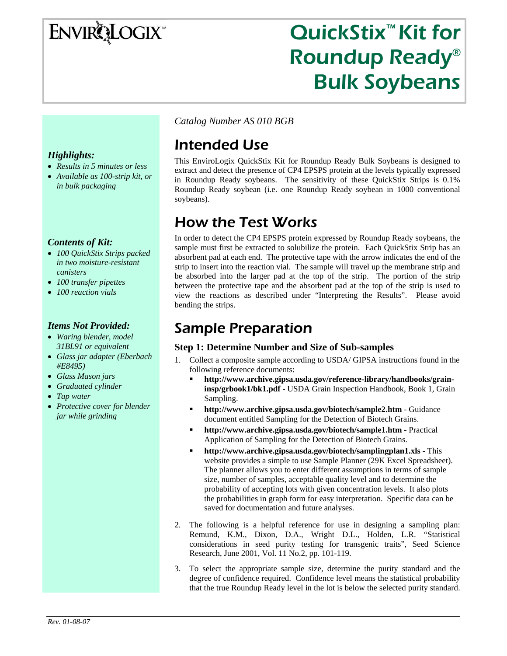# **ENVIRQLOGIX**

# QuickStix<sup>™</sup> Kit for Roundup Ready® Bulk Soybeans

*Catalog Number AS 010 BGB*

# Intended Use

This EnviroLogix QuickStix Kit for Roundup Ready Bulk Soybeans is designed to extract and detect the presence of CP4 EPSPS protein at the levels typically expressed in Roundup Ready soybeans. The sensitivity of these QuickStix Strips is 0.1% Roundup Ready soybean (i.e. one Roundup Ready soybean in 1000 conventional soybeans).

# How the Test Works

In order to detect the CP4 EPSPS protein expressed by Roundup Ready soybeans, the sample must first be extracted to solubilize the protein. Each QuickStix Strip has an absorbent pad at each end. The protective tape with the arrow indicates the end of the strip to insert into the reaction vial. The sample will travel up the membrane strip and be absorbed into the larger pad at the top of the strip. The portion of the strip between the protective tape and the absorbent pad at the top of the strip is used to view the reactions as described under "Interpreting the Results". Please avoid bending the strips.

# Sample Preparation

### **Step 1: Determine Number and Size of Sub-samples**

- 1. Collect a composite sample according to USDA/ GIPSA instructions found in the following reference documents:
	- **http://www.archive.gipsa.usda.gov/reference-library/handbooks/graininsp/grbook1/bk1.pdf** - USDA Grain Inspection Handbook, Book 1, Grain Sampling.
	- **http://www.archive.gipsa.usda.gov/biotech/sample2.htm** Guidance document entitled Sampling for the Detection of Biotech Grains.
	- **http://www.archive.gipsa.usda.gov/biotech/sample1.htm** Practical Application of Sampling for the Detection of Biotech Grains.
	- **http://www.archive.gipsa.usda.gov/biotech/samplingplan1.xls** This website provides a simple to use Sample Planner (29K Excel Spreadsheet). The planner allows you to enter different assumptions in terms of sample size, number of samples, acceptable quality level and to determine the probability of accepting lots with given concentration levels. It also plots the probabilities in graph form for easy interpretation. Specific data can be saved for documentation and future analyses.
- 2. The following is a helpful reference for use in designing a sampling plan: Remund, K.M., Dixon, D.A., Wright D.L., Holden, L.R. "Statistical considerations in seed purity testing for transgenic traits", Seed Science Research, June 2001, Vol. 11 No.2, pp. 101-119.
- 3. To select the appropriate sample size, determine the purity standard and the degree of confidence required. Confidence level means the statistical probability that the true Roundup Ready level in the lot is below the selected purity standard.

### *Highlights:*

- *Results in 5 minutes or less*
- *Available as 100-strip kit, or in bulk packaging*

### *Contents of Kit:*

- *100 QuickStix Strips packed in two moisture-resistant canisters*
- *100 transfer pipettes*
- *100 reaction vials*

### *Items Not Provided:*

- *Waring blender, model 31BL91 or equivalent*
- *Glass jar adapter (Eberbach #E8495)*
- *Glass Mason jars*
- *Graduated cylinder*
- *Tap water*
- *Protective cover for blender jar while grinding*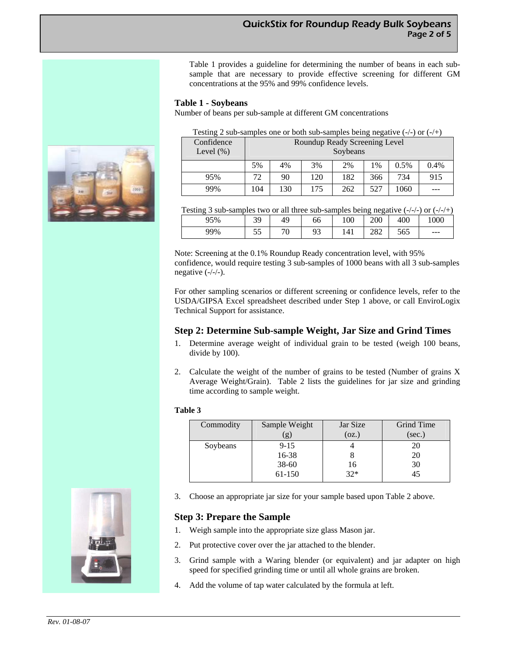Table 1 provides a guideline for determining the number of beans in each subsample that are necessary to provide effective screening for different GM concentrations at the 95% and 99% confidence levels.

#### **Table 1 - Soybeans**

Number of beans per sub-sample at different GM concentrations

| Testing 2 sub-samples one or both sub-samples being negative $(-/-)$ or $(-/+)$ |                               |     |     |     |     |      |      |
|---------------------------------------------------------------------------------|-------------------------------|-----|-----|-----|-----|------|------|
| Confidence                                                                      | Roundup Ready Screening Level |     |     |     |     |      |      |
| Level $(\%)$                                                                    | Soybeans                      |     |     |     |     |      |      |
|                                                                                 | 5%                            | 4%  | 3%  | 2%  | 1%  | 0.5% | 0.4% |
| 95%                                                                             | 72                            | 90  | 120 | 182 | 366 | 734  | 915  |
| 99%                                                                             | 104                           | 130 | 175 | 262 | 527 | 1060 |      |



| 95% | 30<br>ر ر | 49                            | $\epsilon$<br>66 | 100               | 200        | 400       | 000   |
|-----|-----------|-------------------------------|------------------|-------------------|------------|-----------|-------|
| 99% | $ -$<br>ິ | $\overline{\phantom{a}}$<br>υ | Q2<br>پ.         | $\Lambda^*$<br>ᅟᅩ | ററെ<br>ZOZ | 500<br>υv | $---$ |

Note: Screening at the 0.1% Roundup Ready concentration level, with 95% confidence, would require testing 3 sub-samples of 1000 beans with all 3 sub-samples negative (-/-/-).

For other sampling scenarios or different screening or confidence levels, refer to the USDA/GIPSA Excel spreadsheet described under Step 1 above, or call EnviroLogix Technical Support for assistance.

#### **Step 2: Determine Sub-sample Weight, Jar Size and Grind Times**

- 1. Determine average weight of individual grain to be tested (weigh 100 beans, divide by 100).
- 2. Calculate the weight of the number of grains to be tested (Number of grains X Average Weight/Grain). Table 2 lists the guidelines for jar size and grinding time according to sample weight.

#### **Table 3**

| Commodity | Sample Weight | Jar Size | Grind Time |  |
|-----------|---------------|----------|------------|--|
|           | (g)           | (oz.)    | (sec.)     |  |
| Soybeans  | $9 - 15$      |          | 20         |  |
|           | 16-38         |          | 20         |  |
|           | $38 - 60$     | 16       | 30         |  |
|           | 61-150        | $32*$    |            |  |
|           |               |          |            |  |

3. Choose an appropriate jar size for your sample based upon Table 2 above.

#### **Step 3: Prepare the Sample**

- 1. Weigh sample into the appropriate size glass Mason jar.
- 2. Put protective cover over the jar attached to the blender.
- 3. Grind sample with a Waring blender (or equivalent) and jar adapter on high speed for specified grinding time or until all whole grains are broken.
- 4. Add the volume of tap water calculated by the formula at left.

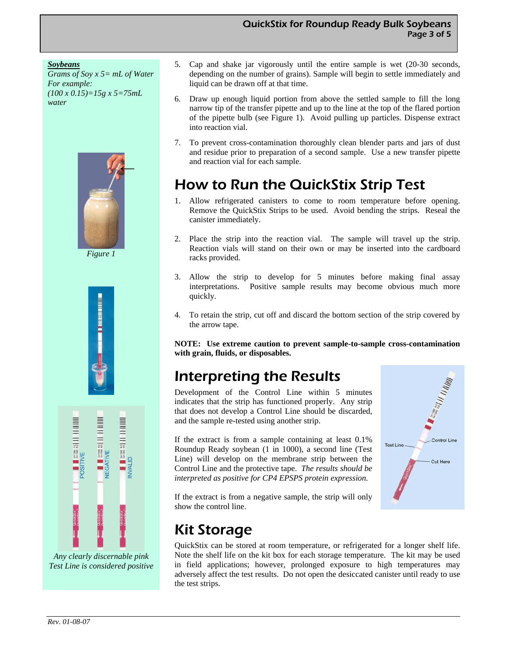#### *Soybeans*

*Grams of Soy x 5= mL of Water For example: (100 x 0.15)=15g x 5=75mL water* 



*Figure 1* 





*Any clearly discernable pink Test Line is considered positive* 

- 5. Cap and shake jar vigorously until the entire sample is wet (20-30 seconds, depending on the number of grains). Sample will begin to settle immediately and liquid can be drawn off at that time.
- 6. Draw up enough liquid portion from above the settled sample to fill the long narrow tip of the transfer pipette and up to the line at the top of the flared portion of the pipette bulb (see Figure 1). Avoid pulling up particles. Dispense extract into reaction vial.
- 7. To prevent cross-contamination thoroughly clean blender parts and jars of dust and residue prior to preparation of a second sample. Use a new transfer pipette and reaction vial for each sample.

# How to Run the QuickStix Strip Test

- 1. Allow refrigerated canisters to come to room temperature before opening. Remove the QuickStix Strips to be used. Avoid bending the strips. Reseal the canister immediately.
- 2. Place the strip into the reaction vial. The sample will travel up the strip. Reaction vials will stand on their own or may be inserted into the cardboard racks provided.
- 3. Allow the strip to develop for 5 minutes before making final assay interpretations. Positive sample results may become obvious much more quickly.
- 4. To retain the strip, cut off and discard the bottom section of the strip covered by the arrow tape.

**NOTE: Use extreme caution to prevent sample-to-sample cross-contamination with grain, fluids, or disposables.** 

# Interpreting the Results

Development of the Control Line within 5 minutes indicates that the strip has functioned properly. Any strip that does not develop a Control Line should be discarded, and the sample re-tested using another strip.

If the extract is from a sample containing at least 0.1% Roundup Ready soybean (1 in 1000), a second line (Test Line) will develop on the membrane strip between the Control Line and the protective tape. *The results should be interpreted as positive for CP4 EPSPS protein expression.* 



If the extract is from a negative sample, the strip will only show the control line.

# Kit Storage

QuickStix can be stored at room temperature, or refrigerated for a longer shelf life. Note the shelf life on the kit box for each storage temperature. The kit may be used in field applications; however, prolonged exposure to high temperatures may adversely affect the test results. Do not open the desiccated canister until ready to use the test strips.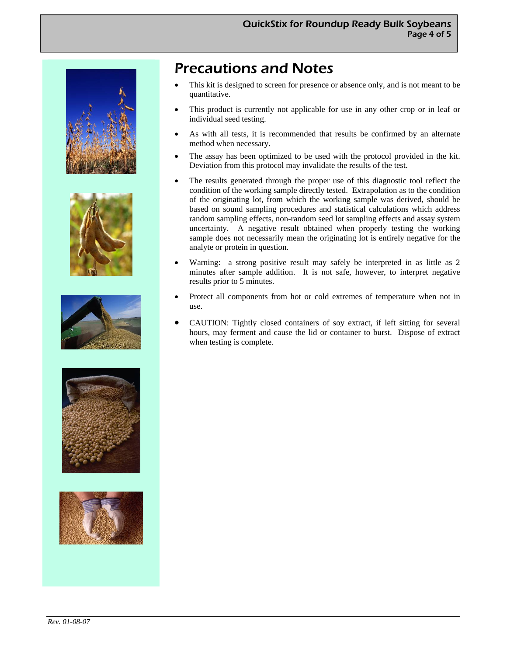









## Precautions and Notes

- This kit is designed to screen for presence or absence only, and is not meant to be quantitative.
- This product is currently not applicable for use in any other crop or in leaf or individual seed testing.
- As with all tests, it is recommended that results be confirmed by an alternate method when necessary.
- The assay has been optimized to be used with the protocol provided in the kit. Deviation from this protocol may invalidate the results of the test.
- The results generated through the proper use of this diagnostic tool reflect the condition of the working sample directly tested. Extrapolation as to the condition of the originating lot, from which the working sample was derived, should be based on sound sampling procedures and statistical calculations which address random sampling effects, non-random seed lot sampling effects and assay system uncertainty. A negative result obtained when properly testing the working sample does not necessarily mean the originating lot is entirely negative for the analyte or protein in question.
- Warning: a strong positive result may safely be interpreted in as little as 2 minutes after sample addition. It is not safe, however, to interpret negative results prior to 5 minutes.
- Protect all components from hot or cold extremes of temperature when not in use.
- CAUTION: Tightly closed containers of soy extract, if left sitting for several hours, may ferment and cause the lid or container to burst. Dispose of extract when testing is complete.